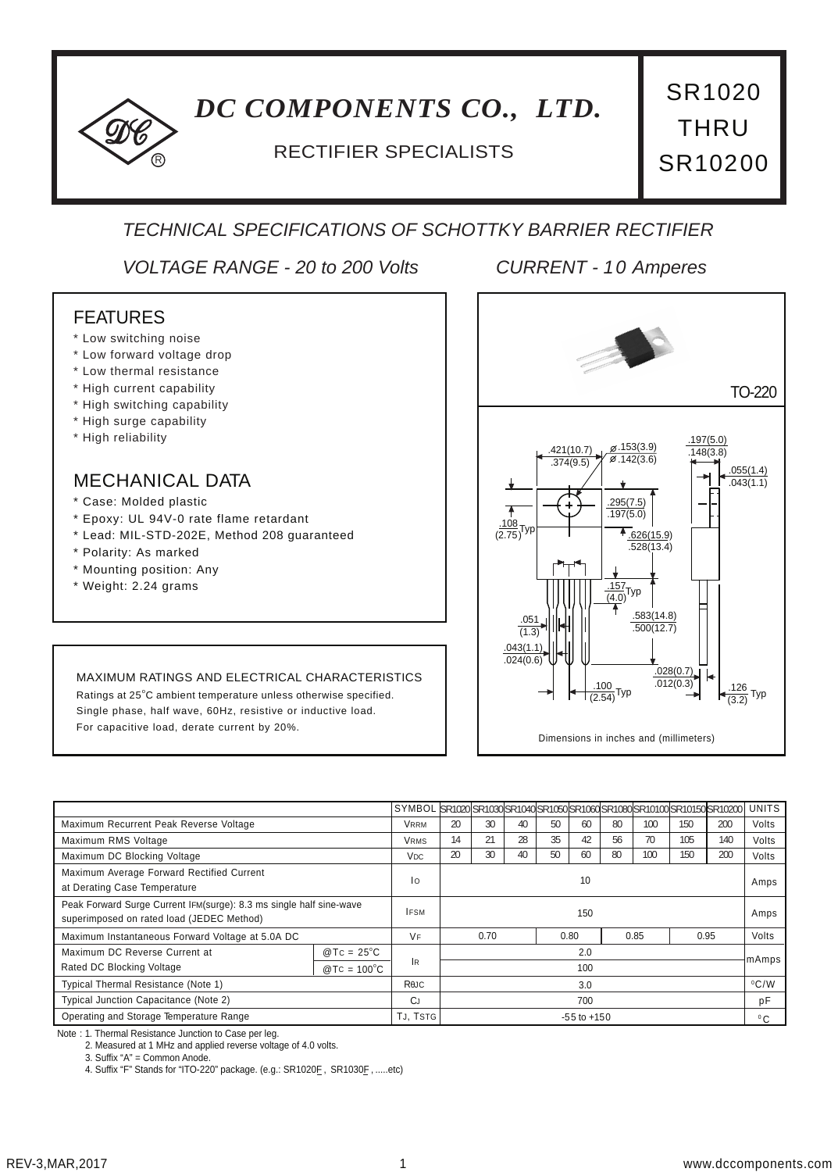# *DC COMPONENTS CO., LTD.*

# RECTIFIER SPECIALISTS

SR1020 THRU SR10200

# *TECHNICAL SPECIFICATIONS OF SCHOTTKY BARRIER RECTIFIER*

*VOLTAGE RANGE - 20 to 200 Volts CURRENT - 10 Amperes*

### FEATURES

- \* Low switching noise
- \* Low forward voltage drop
- \* Low thermal resistance
- \* High current capability
- \* High switching capability
- \* High surge capability
- \* High reliability

### MECHANICAL DATA

- \* Case: Molded plastic
- \* Epoxy: UL 94V-0 rate flame retardant
- \* Lead: MIL-STD-202E, Method 208 guaranteed
- \* Polarity: As marked
- \* Mounting position: Any
- \* Weight: 2.24 grams



#### MAXIMUM RATINGS AND ELECTRICAL CHARACTERISTICS

Ratings at 25°C ambient temperature unless otherwise specified. Single phase, half wave, 60Hz, resistive or inductive load. For capacitive load, derate current by 20%.

|                                                                                                                  |                     | SYMBOL SR1020 SR1030 SR1040 SR1050 SR1060 SR1080 SR10100 SR10150 SR10200 |      |                       |      |    |    |      |     |      |      | <b>UNITS</b> |
|------------------------------------------------------------------------------------------------------------------|---------------------|--------------------------------------------------------------------------|------|-----------------------|------|----|----|------|-----|------|------|--------------|
| Maximum Recurrent Peak Reverse Voltage                                                                           |                     | <b>VRRM</b>                                                              | 20   | 30                    | 40   | 50 | 60 | 80   | 100 | 150  | 200  | Volts        |
| Maximum RMS Voltage                                                                                              |                     | <b>VRMS</b>                                                              | 14   | 21                    | 28   | 35 | 42 | 56   | 70  | 105  | 140  | Volts        |
| Maximum DC Blocking Voltage                                                                                      |                     | V <sub>DC</sub>                                                          | 20   | 30                    | 40   | 50 | 60 | 80   | 100 | 150  | 200  | Volts        |
| Maximum Average Forward Rectified Current<br>at Derating Case Temperature                                        |                     | Ιo                                                                       | 10   |                       |      |    |    |      |     |      |      | Amps         |
| Peak Forward Surge Current IFM(surge): 8.3 ms single half sine-wave<br>superimposed on rated load (JEDEC Method) |                     | <b>IFSM</b>                                                              | 150  |                       |      |    |    |      |     |      | Amps |              |
| Maximum Instantaneous Forward Voltage at 5.0A DC                                                                 |                     | <b>VF</b>                                                                | 0.70 |                       | 0.80 |    |    | 0.85 |     | 0.95 |      |              |
| Maximum DC Reverse Current at                                                                                    | $@TC = 25^{\circ}C$ |                                                                          | 2.0  |                       |      |    |    |      |     |      |      | mAmps        |
| Rated DC Blocking Voltage                                                                                        | $@TC = 100°C$       | lR                                                                       | 100  |                       |      |    |    |      |     |      |      |              |
| Typical Thermal Resistance (Note 1)                                                                              |                     | ReJC                                                                     |      | $^{\circ}$ C/W<br>3.0 |      |    |    |      |     |      |      |              |
| Typical Junction Capacitance (Note 2)                                                                            |                     | CJ                                                                       | 700  |                       |      |    |    |      |     |      | pF   |              |
| Operating and Storage Temperature Range                                                                          |                     | TJ, TSTG                                                                 |      | $-55$ to $+150$       |      |    |    |      |     |      |      | $^0C$        |

Note : 1. Thermal Resistance Junction to Case per leg.

2. Measured at 1 MHz and applied reverse voltage of 4.0 volts.

3. Suffix "A" = Common Anode.

4. Suffix "F" Stands for "ITO-220" package. (e.g.: SR1020E, SR1030E, .....etc)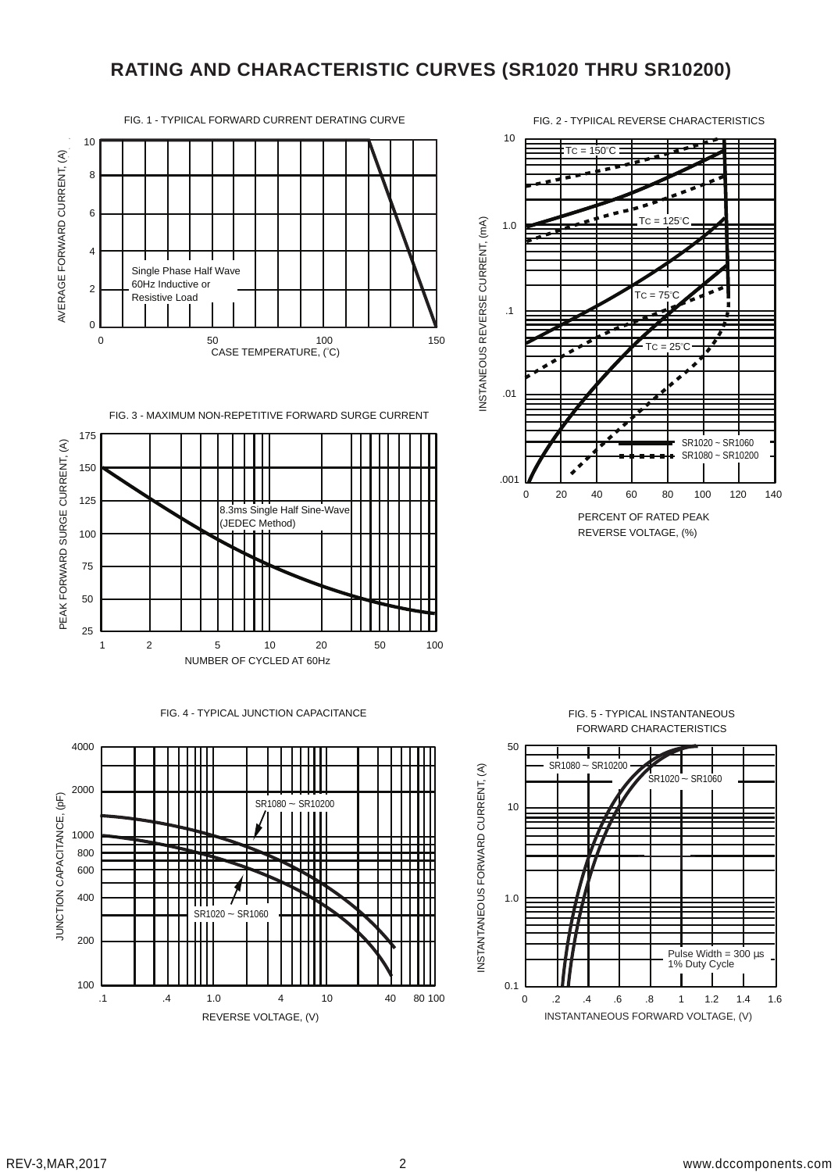# **RATING AND CHARACTERISTIC CURVES (SR1020 THRU SR10200)**

FIG. 1 - TYPIICAL FORWARD CURRENT DERATING CURVE



FIG. 3 - MAXIMUM NON-REPETITIVE FORWARD SURGE CURRENT



#### FIG. 4 - TYPICAL JUNCTION CAPACITANCE





FIG. 2 - TYPIICAL REVERSE CHARACTERISTICS